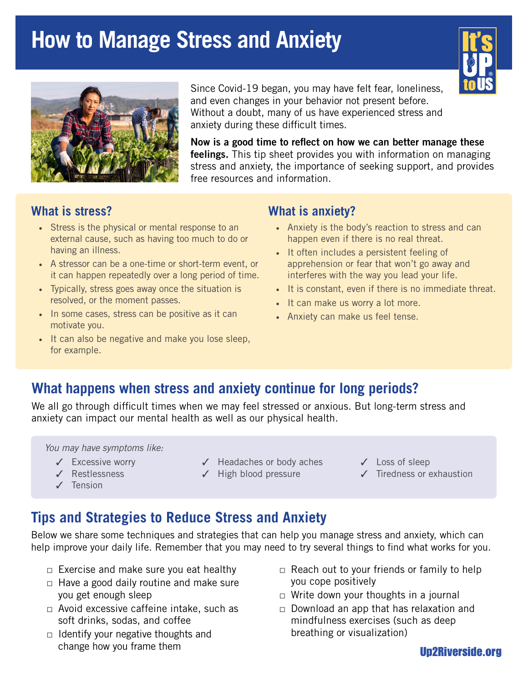# **How to Manage Stress and Anxiety**





Since Covid-19 began, you may have felt fear, loneliness, and even changes in your behavior not present before. Without a doubt, many of us have experienced stress and anxiety during these difficult times.

Now is a good time to reflect on how we can better manage these feelings. This tip sheet provides you with information on managing stress and anxiety, the importance of seeking support, and provides free resources and information.

#### **What is stress?**

- Stress is the physical or mental response to an external cause, such as having too much to do or having an illness.
- A stressor can be a one-time or short-term event, or it can happen repeatedly over a long period of time.
- Typically, stress goes away once the situation is resolved, or the moment passes.
- In some cases, stress can be positive as it can motivate you.
- It can also be negative and make you lose sleep, for example.

#### **What is anxiety?**

- Anxiety is the body's reaction to stress and can happen even if there is no real threat.
- It often includes a persistent feeling of apprehension or fear that won't go away and interferes with the way you lead your life.
- It is constant, even if there is no immediate threat.
- It can make us worry a lot more.
- Anxiety can make us feel tense.

## **What happens when stress and anxiety continue for long periods?**

We all go through difficult times when we may feel stressed or anxious. But long-term stress and anxiety can impact our mental health as well as our physical health.

*You may have symptoms like:*

- ✓ Excessive worry
- ✓ Restlessness
- ✓ Tension
- ✓ Headaches or body aches ✓ High blood pressure
- ✓ Loss of sleep
- ✓ Tiredness or exhaustion

## **Tips and Strategies to Reduce Stress and Anxiety**

Below we share some techniques and strategies that can help you manage stress and anxiety, which can help improve your daily life. Remember that you may need to try several things to find what works for you.

- **□** Exercise and make sure you eat healthy
- **□** Have a good daily routine and make sure you get enough sleep
- **□** Avoid excessive caffeine intake, such as soft drinks, sodas, and coffee
- **□** Identify your negative thoughts and change how you frame them
- **□** Reach out to your friends or family to help you cope positively
- **□** Write down your thoughts in a journal
- **□** Download an app that has relaxation and mindfulness exercises (such as deep breathing or visualization)